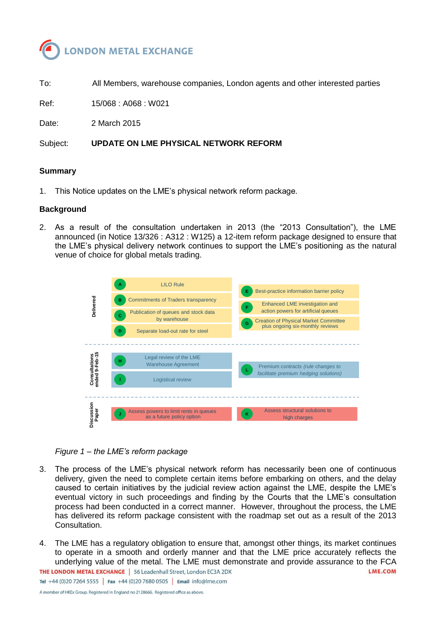

To: All Members, warehouse companies, London agents and other interested parties

Ref: 15/068 : A068 : W021

Date: 2 March 2015

Subject: **UPDATE ON LME PHYSICAL NETWORK REFORM**

### **Summary**

1. This Notice updates on the LME's physical network reform package.

### **Background**

2. As a result of the consultation undertaken in 2013 (the "2013 Consultation"), the LME announced (in Notice 13/326 : A312 : W125) a 12-item reform package designed to ensure that the LME's physical delivery network continues to support the LME's positioning as the natural venue of choice for global metals trading.



## *Figure 1 – the LME's reform package*

- 3. The process of the LME's physical network reform has necessarily been one of continuous delivery, given the need to complete certain items before embarking on others, and the delay caused to certain initiatives by the judicial review action against the LME, despite the LME's eventual victory in such proceedings and finding by the Courts that the LME's consultation process had been conducted in a correct manner. However, throughout the process, the LME has delivered its reform package consistent with the roadmap set out as a result of the 2013 Consultation.
- 4. The LME has a regulatory obligation to ensure that, amongst other things, its market continues to operate in a smooth and orderly manner and that the LME price accurately reflects the underlying value of the metal. The LME must demonstrate and provide assurance to the FCA **THE LONDON METAL EXCHANGE** | 56 Leadenhall Street, London EC3A 2DX **LME.COM** Tel +44 (0)20 7264 5555 | Fax +44 (0)20 7680 0505 | Email info@lme.com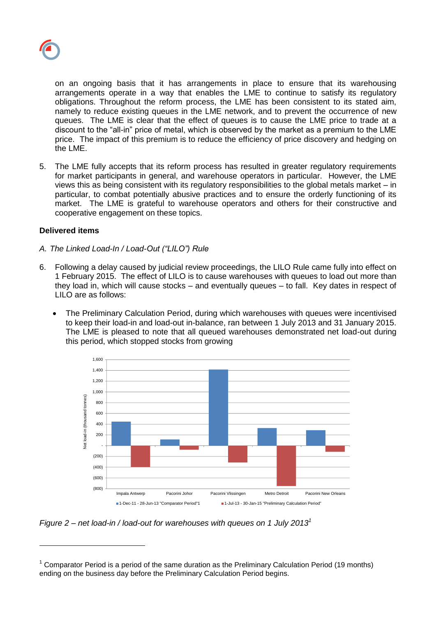

on an ongoing basis that it has arrangements in place to ensure that its warehousing arrangements operate in a way that enables the LME to continue to satisfy its regulatory obligations. Throughout the reform process, the LME has been consistent to its stated aim, namely to reduce existing queues in the LME network, and to prevent the occurrence of new queues. The LME is clear that the effect of queues is to cause the LME price to trade at a discount to the "all-in" price of metal, which is observed by the market as a premium to the LME price. The impact of this premium is to reduce the efficiency of price discovery and hedging on the LME.

5. The LME fully accepts that its reform process has resulted in greater regulatory requirements for market participants in general, and warehouse operators in particular. However, the LME views this as being consistent with its regulatory responsibilities to the global metals market – in particular, to combat potentially abusive practices and to ensure the orderly functioning of its market. The LME is grateful to warehouse operators and others for their constructive and cooperative engagement on these topics.

# **Delivered items**

l

- *A. The Linked Load-In / Load-Out ("LILO") Rule*
- 6. Following a delay caused by judicial review proceedings, the LILO Rule came fully into effect on 1 February 2015. The effect of LILO is to cause warehouses with queues to load out more than they load in, which will cause stocks – and eventually queues – to fall. Key dates in respect of LILO are as follows:
	- The Preliminary Calculation Period, during which warehouses with queues were incentivised to keep their load-in and load-out in-balance, ran between 1 July 2013 and 31 January 2015. The LME is pleased to note that all queued warehouses demonstrated net load-out during this period, which stopped stocks from growing



*Figure 2 – net load-in / load-out for warehouses with queues on 1 July 2013<sup>1</sup>*

 $1$  Comparator Period is a period of the same duration as the Preliminary Calculation Period (19 months) ending on the business day before the Preliminary Calculation Period begins.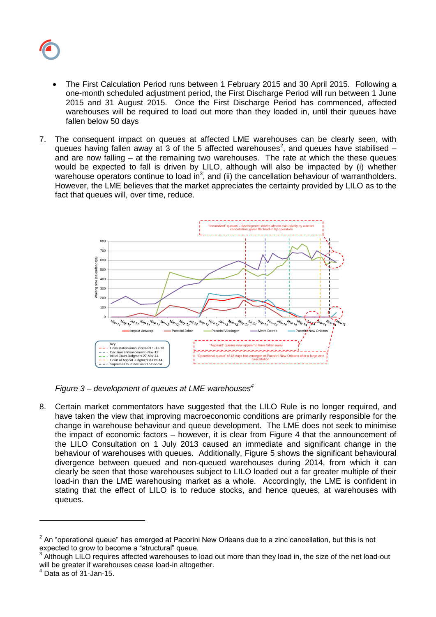

- The First Calculation Period runs between 1 February 2015 and 30 April 2015. Following a one-month scheduled adjustment period, the First Discharge Period will run between 1 June 2015 and 31 August 2015. Once the First Discharge Period has commenced, affected warehouses will be required to load out more than they loaded in, until their queues have fallen below 50 days
- 7. The consequent impact on queues at affected LME warehouses can be clearly seen, with queues having fallen away at 3 of the 5 affected warehouses<sup>2</sup>, and queues have stabilised  $$ and are now falling – at the remaining two warehouses. The rate at which the these queues would be expected to fall is driven by LILO, although will also be impacted by (i) whether warehouse operators continue to load in<sup>3</sup>, and (ii) the cancellation behaviour of warrantholders. However, the LME believes that the market appreciates the certainty provided by LILO as to the fact that queues will, over time, reduce.



*Figure 3 – development of queues at LME warehouses<sup>4</sup>*

8. Certain market commentators have suggested that the LILO Rule is no longer required, and have taken the view that improving macroeconomic conditions are primarily responsible for the change in warehouse behaviour and queue development. The LME does not seek to minimise the impact of economic factors – however, it is clear from Figure 4 that the announcement of the LILO Consultation on 1 July 2013 caused an immediate and significant change in the behaviour of warehouses with queues. Additionally, Figure 5 shows the significant behavioural divergence between queued and non-queued warehouses during 2014, from which it can clearly be seen that those warehouses subject to LILO loaded out a far greater multiple of their load-in than the LME warehousing market as a whole. Accordingly, the LME is confident in stating that the effect of LILO is to reduce stocks, and hence queues, at warehouses with queues.

l

 $2$  An "operational queue" has emerged at Pacorini New Orleans due to a zinc cancellation, but this is not expected to grow to become a "structural" queue.

<sup>3</sup> Although LILO requires affected warehouses to load out more than they load in, the size of the net load-out will be greater if warehouses cease load-in altogether.

<sup>4</sup> Data as of 31-Jan-15.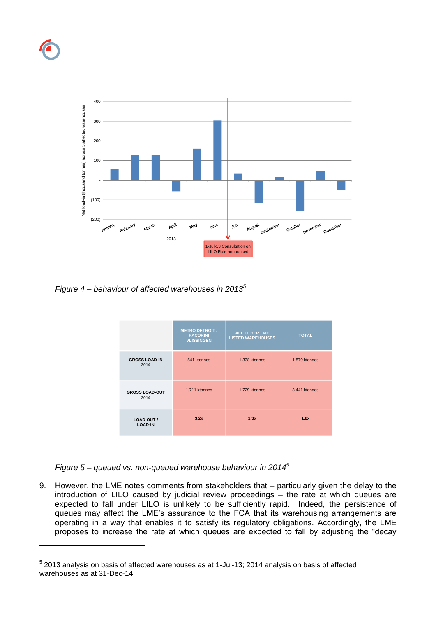

l



*Figure 4 – behaviour of affected warehouses in 2013<sup>5</sup>*

|                               | <b>METRO DETROIT /</b><br><b>PACORINI</b><br><b>VLISSINGEN</b> | <b>ALL OTHER LME</b><br><b>LISTED WAREHOUSES</b> | <b>TOTAL</b>  |
|-------------------------------|----------------------------------------------------------------|--------------------------------------------------|---------------|
| <b>GROSS LOAD-IN</b><br>2014  | 541 ktonnes                                                    | 1,338 ktonnes                                    | 1,879 ktonnes |
| <b>GROSS LOAD-OUT</b><br>2014 | 1,711 ktonnes                                                  | 1,729 ktonnes                                    | 3,441 ktonnes |
| LOAD-OUT /<br><b>LOAD-IN</b>  | 3.2x                                                           | 1.3x                                             | 1.8x          |

*Figure 5 – queued vs. non-queued warehouse behaviour in 2014<sup>5</sup>*

9. However, the LME notes comments from stakeholders that – particularly given the delay to the introduction of LILO caused by judicial review proceedings – the rate at which queues are expected to fall under LILO is unlikely to be sufficiently rapid. Indeed, the persistence of queues may affect the LME's assurance to the FCA that its warehousing arrangements are operating in a way that enables it to satisfy its regulatory obligations. Accordingly, the LME proposes to increase the rate at which queues are expected to fall by adjusting the "decay

 $<sup>5</sup>$  2013 analysis on basis of affected warehouses as at 1-Jul-13; 2014 analysis on basis of affected</sup> warehouses as at 31-Dec-14.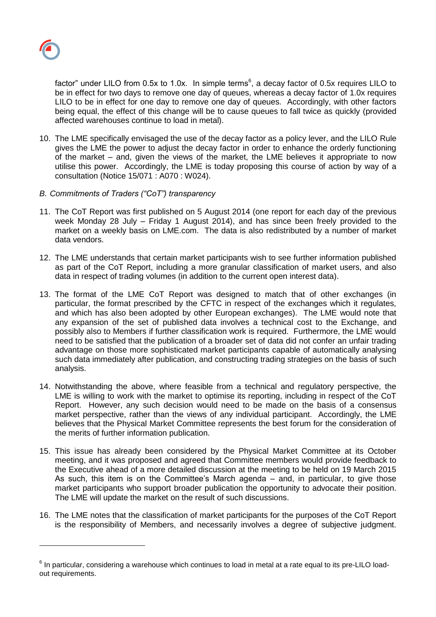

l

factor" under LILO from 0.5x to 1.0x. In simple terms<sup>6</sup>, a decay factor of 0.5x requires LILO to be in effect for two days to remove one day of queues, whereas a decay factor of 1.0x requires LILO to be in effect for one day to remove one day of queues. Accordingly, with other factors being equal, the effect of this change will be to cause queues to fall twice as quickly (provided affected warehouses continue to load in metal).

- 10. The LME specifically envisaged the use of the decay factor as a policy lever, and the LILO Rule gives the LME the power to adjust the decay factor in order to enhance the orderly functioning of the market – and, given the views of the market, the LME believes it appropriate to now utilise this power. Accordingly, the LME is today proposing this course of action by way of a consultation (Notice 15/071 : A070 : W024).
- *B. Commitments of Traders ("CoT") transparency*
- 11. The CoT Report was first published on 5 August 2014 (one report for each day of the previous week Monday 28 July – Friday 1 August 2014), and has since been freely provided to the market on a weekly basis on LME.com. The data is also redistributed by a number of market data vendors.
- 12. The LME understands that certain market participants wish to see further information published as part of the CoT Report, including a more granular classification of market users, and also data in respect of trading volumes (in addition to the current open interest data).
- 13. The format of the LME CoT Report was designed to match that of other exchanges (in particular, the format prescribed by the CFTC in respect of the exchanges which it regulates, and which has also been adopted by other European exchanges). The LME would note that any expansion of the set of published data involves a technical cost to the Exchange, and possibly also to Members if further classification work is required. Furthermore, the LME would need to be satisfied that the publication of a broader set of data did not confer an unfair trading advantage on those more sophisticated market participants capable of automatically analysing such data immediately after publication, and constructing trading strategies on the basis of such analysis.
- 14. Notwithstanding the above, where feasible from a technical and regulatory perspective, the LME is willing to work with the market to optimise its reporting, including in respect of the CoT Report. However, any such decision would need to be made on the basis of a consensus market perspective, rather than the views of any individual participant. Accordingly, the LME believes that the Physical Market Committee represents the best forum for the consideration of the merits of further information publication.
- 15. This issue has already been considered by the Physical Market Committee at its October meeting, and it was proposed and agreed that Committee members would provide feedback to the Executive ahead of a more detailed discussion at the meeting to be held on 19 March 2015 As such, this item is on the Committee's March agenda – and, in particular, to give those market participants who support broader publication the opportunity to advocate their position. The LME will update the market on the result of such discussions.
- 16. The LME notes that the classification of market participants for the purposes of the CoT Report is the responsibility of Members, and necessarily involves a degree of subjective judgment.

 $^6$  In particular, considering a warehouse which continues to load in metal at a rate equal to its pre-LILO loadout requirements.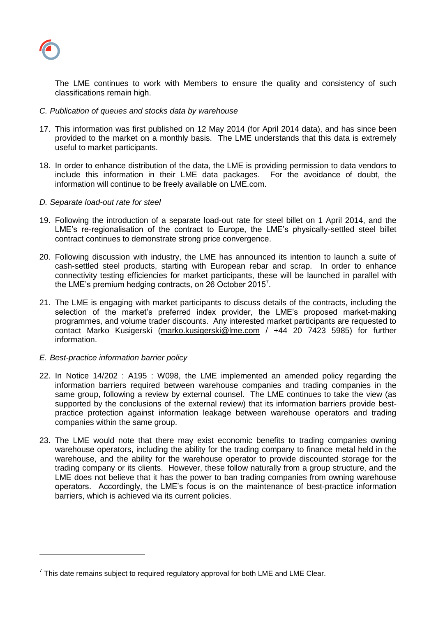

l

The LME continues to work with Members to ensure the quality and consistency of such classifications remain high.

- *C. Publication of queues and stocks data by warehouse*
- 17. This information was first published on 12 May 2014 (for April 2014 data), and has since been provided to the market on a monthly basis. The LME understands that this data is extremely useful to market participants.
- 18. In order to enhance distribution of the data, the LME is providing permission to data vendors to include this information in their LME data packages. For the avoidance of doubt, the information will continue to be freely available on LME.com.
- *D. Separate load-out rate for steel*
- 19. Following the introduction of a separate load-out rate for steel billet on 1 April 2014, and the LME's re-regionalisation of the contract to Europe, the LME's physically-settled steel billet contract continues to demonstrate strong price convergence.
- 20. Following discussion with industry, the LME has announced its intention to launch a suite of cash-settled steel products, starting with European rebar and scrap. In order to enhance connectivity testing efficiencies for market participants, these will be launched in parallel with the LME's premium hedging contracts, on 26 October 2015<sup>7</sup>.
- 21. The LME is engaging with market participants to discuss details of the contracts, including the selection of the market's preferred index provider, the LME's proposed market-making programmes, and volume trader discounts. Any interested market participants are requested to contact Marko Kusigerski [\(marko.kusigerski@lme.com](mailto:marko.kusigerski@lme.com) / +44 20 7423 5985) for further information.
- *E. Best-practice information barrier policy*
- 22. In Notice 14/202 : A195 : W098, the LME implemented an amended policy regarding the information barriers required between warehouse companies and trading companies in the same group, following a review by external counsel. The LME continues to take the view (as supported by the conclusions of the external review) that its information barriers provide bestpractice protection against information leakage between warehouse operators and trading companies within the same group.
- 23. The LME would note that there may exist economic benefits to trading companies owning warehouse operators, including the ability for the trading company to finance metal held in the warehouse, and the ability for the warehouse operator to provide discounted storage for the trading company or its clients. However, these follow naturally from a group structure, and the LME does not believe that it has the power to ban trading companies from owning warehouse operators. Accordingly, the LME's focus is on the maintenance of best-practice information barriers, which is achieved via its current policies.

 $^7$  This date remains subject to required regulatory approval for both LME and LME Clear.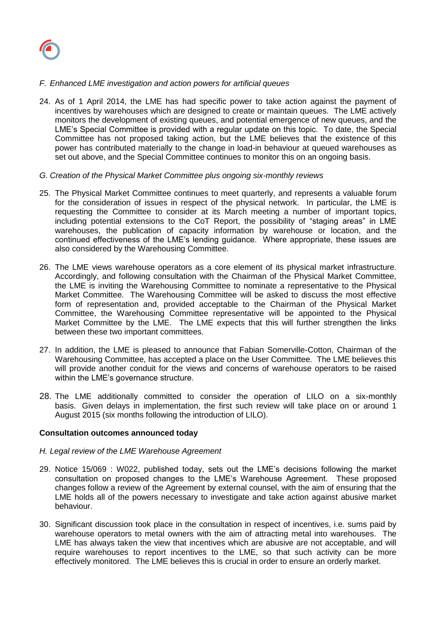

# *F. Enhanced LME investigation and action powers for artificial queues*

- 24. As of 1 April 2014, the LME has had specific power to take action against the payment of incentives by warehouses which are designed to create or maintain queues. The LME actively monitors the development of existing queues, and potential emergence of new queues, and the LME's Special Committee is provided with a regular update on this topic. To date, the Special Committee has not proposed taking action, but the LME believes that the existence of this power has contributed materially to the change in load-in behaviour at queued warehouses as set out above, and the Special Committee continues to monitor this on an ongoing basis.
- *G. Creation of the Physical Market Committee plus ongoing six-monthly reviews*
- 25. The Physical Market Committee continues to meet quarterly, and represents a valuable forum for the consideration of issues in respect of the physical network. In particular, the LME is requesting the Committee to consider at its March meeting a number of important topics, including potential extensions to the CoT Report, the possibility of "staging areas" in LME warehouses, the publication of capacity information by warehouse or location, and the continued effectiveness of the LME's lending guidance. Where appropriate, these issues are also considered by the Warehousing Committee.
- 26. The LME views warehouse operators as a core element of its physical market infrastructure. Accordingly, and following consultation with the Chairman of the Physical Market Committee, the LME is inviting the Warehousing Committee to nominate a representative to the Physical Market Committee. The Warehousing Committee will be asked to discuss the most effective form of representation and, provided acceptable to the Chairman of the Physical Market Committee, the Warehousing Committee representative will be appointed to the Physical Market Committee by the LME. The LME expects that this will further strengthen the links between these two important committees.
- 27. In addition, the LME is pleased to announce that Fabian Somerville-Cotton, Chairman of the Warehousing Committee, has accepted a place on the User Committee. The LME believes this will provide another conduit for the views and concerns of warehouse operators to be raised within the LME's governance structure.
- 28. The LME additionally committed to consider the operation of LILO on a six-monthly basis. Given delays in implementation, the first such review will take place on or around 1 August 2015 (six months following the introduction of LILO).

## **Consultation outcomes announced today**

## *H. Legal review of the LME Warehouse Agreement*

- 29. Notice 15/069 : W022, published today, sets out the LME's decisions following the market consultation on proposed changes to the LME's Warehouse Agreement. These proposed changes follow a review of the Agreement by external counsel, with the aim of ensuring that the LME holds all of the powers necessary to investigate and take action against abusive market behaviour.
- 30. Significant discussion took place in the consultation in respect of incentives, i.e. sums paid by warehouse operators to metal owners with the aim of attracting metal into warehouses. The LME has always taken the view that incentives which are abusive are not acceptable, and will require warehouses to report incentives to the LME, so that such activity can be more effectively monitored. The LME believes this is crucial in order to ensure an orderly market.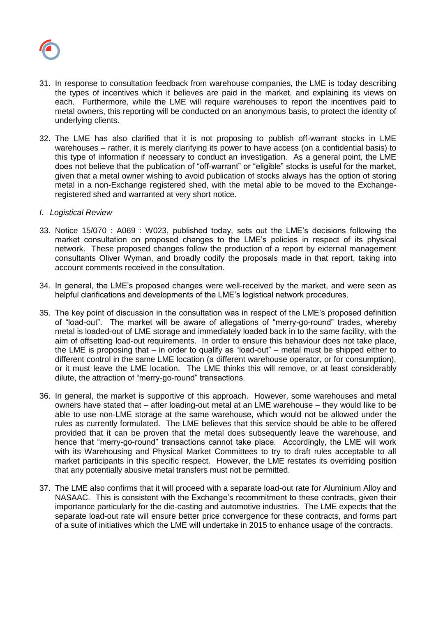

- 31. In response to consultation feedback from warehouse companies, the LME is today describing the types of incentives which it believes are paid in the market, and explaining its views on each. Furthermore, while the LME will require warehouses to report the incentives paid to metal owners, this reporting will be conducted on an anonymous basis, to protect the identity of underlying clients.
- 32. The LME has also clarified that it is not proposing to publish off-warrant stocks in LME warehouses – rather, it is merely clarifying its power to have access (on a confidential basis) to this type of information if necessary to conduct an investigation. As a general point, the LME does not believe that the publication of "off-warrant" or "eligible" stocks is useful for the market, given that a metal owner wishing to avoid publication of stocks always has the option of storing metal in a non-Exchange registered shed, with the metal able to be moved to the Exchangeregistered shed and warranted at very short notice.
- *I. Logistical Review*
- 33. Notice 15/070 : A069 : W023, published today, sets out the LME's decisions following the market consultation on proposed changes to the LME's policies in respect of its physical network. These proposed changes follow the production of a report by external management consultants Oliver Wyman, and broadly codify the proposals made in that report, taking into account comments received in the consultation.
- 34. In general, the LME's proposed changes were well-received by the market, and were seen as helpful clarifications and developments of the LME's logistical network procedures.
- 35. The key point of discussion in the consultation was in respect of the LME's proposed definition of "load-out". The market will be aware of allegations of "merry-go-round" trades, whereby metal is loaded-out of LME storage and immediately loaded back in to the same facility, with the aim of offsetting load-out requirements. In order to ensure this behaviour does not take place, the LME is proposing that – in order to qualify as "load-out" – metal must be shipped either to different control in the same LME location (a different warehouse operator, or for consumption), or it must leave the LME location. The LME thinks this will remove, or at least considerably dilute, the attraction of "merry-go-round" transactions.
- 36. In general, the market is supportive of this approach. However, some warehouses and metal owners have stated that – after loading-out metal at an LME warehouse – they would like to be able to use non-LME storage at the same warehouse, which would not be allowed under the rules as currently formulated. The LME believes that this service should be able to be offered provided that it can be proven that the metal does subsequently leave the warehouse, and hence that "merry-go-round" transactions cannot take place. Accordingly, the LME will work with its Warehousing and Physical Market Committees to try to draft rules acceptable to all market participants in this specific respect. However, the LME restates its overriding position that any potentially abusive metal transfers must not be permitted.
- 37. The LME also confirms that it will proceed with a separate load-out rate for Aluminium Alloy and NASAAC. This is consistent with the Exchange's recommitment to these contracts, given their importance particularly for the die-casting and automotive industries. The LME expects that the separate load-out rate will ensure better price convergence for these contracts, and forms part of a suite of initiatives which the LME will undertake in 2015 to enhance usage of the contracts.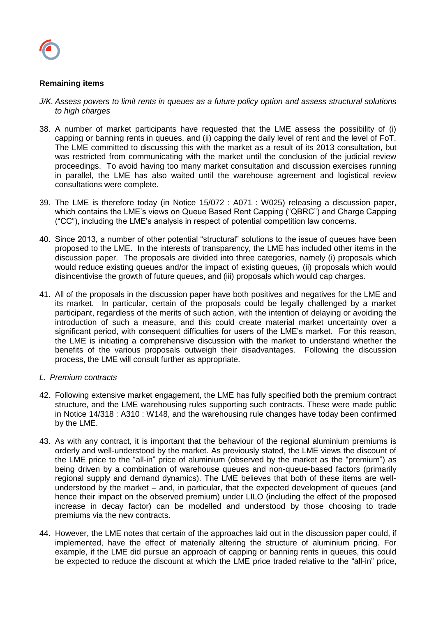

# **Remaining items**

- *J/K. Assess powers to limit rents in queues as a future policy option and assess structural solutions to high charges*
- 38. A number of market participants have requested that the LME assess the possibility of (i) capping or banning rents in queues, and (ii) capping the daily level of rent and the level of FoT. The LME committed to discussing this with the market as a result of its 2013 consultation, but was restricted from communicating with the market until the conclusion of the judicial review proceedings. To avoid having too many market consultation and discussion exercises running in parallel, the LME has also waited until the warehouse agreement and logistical review consultations were complete.
- 39. The LME is therefore today (in Notice 15/072 : A071 : W025) releasing a discussion paper, which contains the LME's views on Queue Based Rent Capping ("QBRC") and Charge Capping ("CC"), including the LME's analysis in respect of potential competition law concerns.
- 40. Since 2013, a number of other potential "structural" solutions to the issue of queues have been proposed to the LME. In the interests of transparency, the LME has included other items in the discussion paper. The proposals are divided into three categories, namely (i) proposals which would reduce existing queues and/or the impact of existing queues, (ii) proposals which would disincentivise the growth of future queues, and (iii) proposals which would cap charges.
- 41. All of the proposals in the discussion paper have both positives and negatives for the LME and its market. In particular, certain of the proposals could be legally challenged by a market participant, regardless of the merits of such action, with the intention of delaying or avoiding the introduction of such a measure, and this could create material market uncertainty over a significant period, with consequent difficulties for users of the LME's market. For this reason, the LME is initiating a comprehensive discussion with the market to understand whether the benefits of the various proposals outweigh their disadvantages. Following the discussion process, the LME will consult further as appropriate.
- *L. Premium contracts*
- 42. Following extensive market engagement, the LME has fully specified both the premium contract structure, and the LME warehousing rules supporting such contracts. These were made public in Notice 14/318 : A310 : W148, and the warehousing rule changes have today been confirmed by the LME.
- 43. As with any contract, it is important that the behaviour of the regional aluminium premiums is orderly and well-understood by the market. As previously stated, the LME views the discount of the LME price to the "all-in" price of aluminium (observed by the market as the "premium") as being driven by a combination of warehouse queues and non-queue-based factors (primarily regional supply and demand dynamics). The LME believes that both of these items are wellunderstood by the market – and, in particular, that the expected development of queues (and hence their impact on the observed premium) under LILO (including the effect of the proposed increase in decay factor) can be modelled and understood by those choosing to trade premiums via the new contracts.
- 44. However, the LME notes that certain of the approaches laid out in the discussion paper could, if implemented, have the effect of materially altering the structure of aluminium pricing. For example, if the LME did pursue an approach of capping or banning rents in queues, this could be expected to reduce the discount at which the LME price traded relative to the "all-in" price,